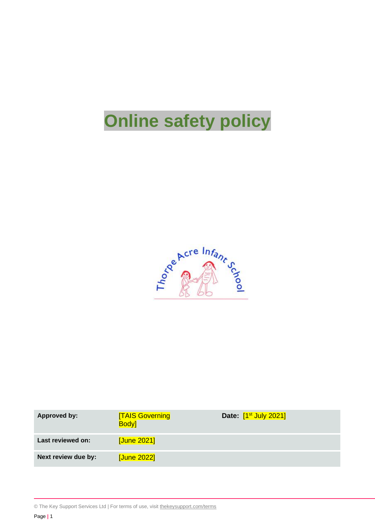# **Online safety policy**



| <b>Approved by:</b> | <b>TAIS Governing</b><br><b>Body</b> | Date: [1 <sup>st</sup> July 2021] |
|---------------------|--------------------------------------|-----------------------------------|
| Last reviewed on:   | [June 2021]                          |                                   |
| Next review due by: | [June 2022]                          |                                   |

<sup>©</sup> The Key Support Services Ltd | For terms of use, visit [thekeysupport.com/terms](https://thekeysupport.com/terms-of-use)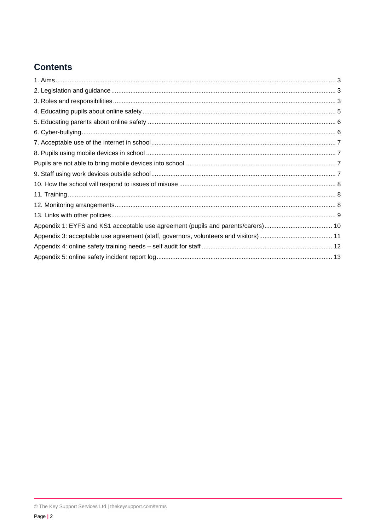## **Contents**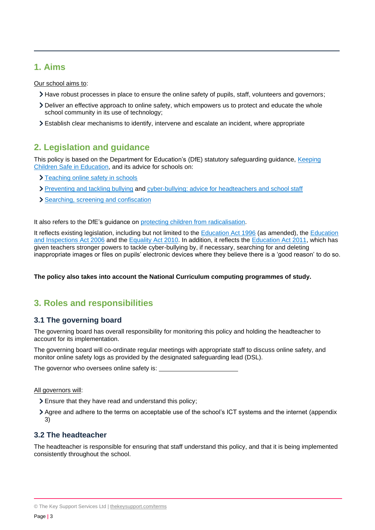## <span id="page-2-0"></span>**1. Aims**

Our school aims to:

- Have robust processes in place to ensure the online safety of pupils, staff, volunteers and governors;
- Deliver an effective approach to online safety, which empowers us to protect and educate the whole school community in its use of technology;
- Establish clear mechanisms to identify, intervene and escalate an incident, where appropriate

## <span id="page-2-1"></span>**2. Legislation and guidance**

This policy is based on the Department for Education's (DfE) statutory safeguarding guidance, Keeping [Children Safe in Education,](https://www.gov.uk/government/publications/keeping-children-safe-in-education--2) and its advice for schools on:

- > [Teaching online safety in schools](https://www.gov.uk/government/publications/teaching-online-safety-in-schools)
- > [Preventing and tackling bullying](https://www.gov.uk/government/publications/preventing-and-tackling-bullying) and [cyber-bullying: advice for headteachers and school staff](https://www.gov.uk/government/publications/preventing-and-tackling-bullying)
- > [Searching, screening and confiscation](https://www.gov.uk/government/publications/searching-screening-and-confiscation)

It also refers to the DfE's guidance on [protecting children from radicalisation.](https://www.gov.uk/government/publications/protecting-children-from-radicalisation-the-prevent-duty)

It reflects existing legislation, including but not limited to the [Education Act 1996](https://www.legislation.gov.uk/ukpga/1996/56/contents) (as amended), the [Education](https://www.legislation.gov.uk/ukpga/2006/40/contents)  [and Inspections Act 2006](https://www.legislation.gov.uk/ukpga/2006/40/contents) and the [Equality Act 2010.](https://www.legislation.gov.uk/ukpga/2010/15/contents) In addition, it reflects the [Education Act 2011,](http://www.legislation.gov.uk/ukpga/2011/21/contents/enacted) which has given teachers stronger powers to tackle cyber-bullying by, if necessary, searching for and deleting inappropriate images or files on pupils' electronic devices where they believe there is a 'good reason' to do so.

**The policy also takes into account the National Curriculum computing programmes of study.**

## <span id="page-2-2"></span>**3. Roles and responsibilities**

### **3.1 The governing board**

The governing board has overall responsibility for monitoring this policy and holding the headteacher to account for its implementation.

The governing board will co-ordinate regular meetings with appropriate staff to discuss online safety, and monitor online safety logs as provided by the designated safeguarding lead (DSL).

The governor who oversees online safety is:

#### All governors will:

- Ensure that they have read and understand this policy;
- Agree and adhere to the terms on acceptable use of the school's ICT systems and the internet (appendix 3)

### **3.2 The headteacher**

The headteacher is responsible for ensuring that staff understand this policy, and that it is being implemented consistently throughout the school.

<sup>©</sup> The Key Support Services Ltd | [thekeysupport.com/terms](https://thekeysupport.com/terms-of-use)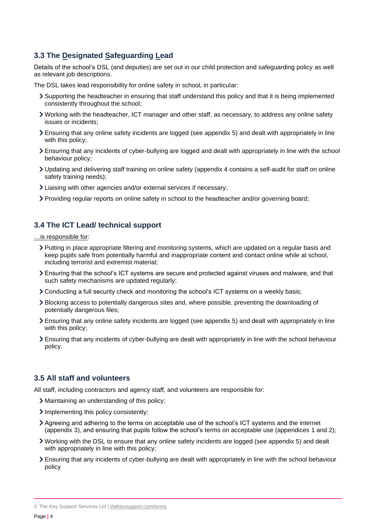## **3.3 The Designated Safeguarding Lead**

Details of the school's DSL (and deputies) are set out in our child protection and safeguarding policy as well as relevant job descriptions.

The DSL takes lead responsibility for online safety in school, in particular:

- Supporting the headteacher in ensuring that staff understand this policy and that it is being implemented consistently throughout the school;
- Working with the headteacher, ICT manager and other staff, as necessary, to address any online safety issues or incidents;
- Ensuring that any online safety incidents are logged (see appendix 5) and dealt with appropriately in line with this policy;
- Ensuring that any incidents of cyber-bullying are logged and dealt with appropriately in line with the school behaviour policy;
- Updating and delivering staff training on online safety (appendix 4 contains a self-audit for staff on online safety training needs);
- Liaising with other agencies and/or external services if necessary;
- Providing regular reports on online safety in school to the headteacher and/or governing board;

#### **3.4 The ICT Lead/ technical support**

…is responsible for:

- Putting in place appropriate filtering and monitoring systems, which are updated on a regular basis and keep pupils safe from potentially harmful and inappropriate content and contact online while at school, including terrorist and extremist material;
- Ensuring that the school's ICT systems are secure and protected against viruses and malware, and that such safety mechanisms are updated regularly;
- Conducting a full security check and monitoring the school's ICT systems on a weekly basis;
- Blocking access to potentially dangerous sites and, where possible, preventing the downloading of potentially dangerous files;
- Ensuring that any online safety incidents are logged (see appendix 5) and dealt with appropriately in line with this policy;
- Ensuring that any incidents of cyber-bullying are dealt with appropriately in line with the school behaviour policy.

#### **3.5 All staff and volunteers**

All staff, including contractors and agency staff, and volunteers are responsible for:

- Maintaining an understanding of this policy;
- Implementing this policy consistently;
- Agreeing and adhering to the terms on acceptable use of the school's ICT systems and the internet (appendix 3), and ensuring that pupils follow the school's terms on acceptable use (appendices 1 and 2);
- Working with the DSL to ensure that any online safety incidents are logged (see appendix 5) and dealt with appropriately in line with this policy;
- Ensuring that any incidents of cyber-bullying are dealt with appropriately in line with the school behaviour policy

© The Key Support Services Ltd | [thekeysupport.com/terms](https://thekeysupport.com/terms-of-use)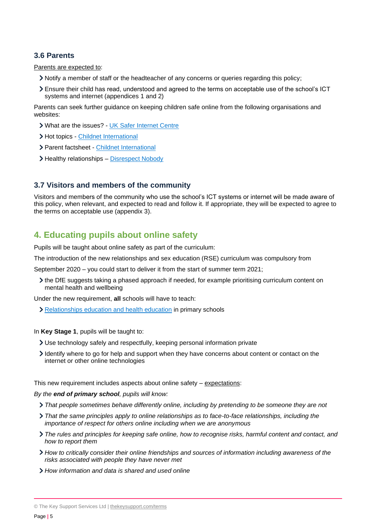#### **3.6 Parents**

Parents are expected to:

- Notify a member of staff or the headteacher of any concerns or queries regarding this policy;
- Ensure their child has read, understood and agreed to the terms on acceptable use of the school's ICT systems and internet (appendices 1 and 2)

Parents can seek further guidance on keeping children safe online from the following organisations and websites:

- What are the issues? [UK Safer Internet Centre](https://www.saferinternet.org.uk/advice-centre/parents-and-carers/what-are-issues)
- > Hot topics [Childnet International](http://www.childnet.com/parents-and-carers/hot-topics)
- Parent factsheet [Childnet International](https://www.childnet.com/resources/parents-and-carers-resource-sheet)
- > Healthy relationships [Disrespect Nobody](https://www.disrespectnobody.co.uk/)

#### **3.7 Visitors and members of the community**

Visitors and members of the community who use the school's ICT systems or internet will be made aware of this policy, when relevant, and expected to read and follow it. If appropriate, they will be expected to agree to the terms on acceptable use (appendix 3).

## <span id="page-4-0"></span>**4. Educating pupils about online safety**

Pupils will be taught about online safety as part of the curriculum:

The introduction of the new relationships and sex education (RSE) curriculum was compulsory from

September 2020 – you could start to deliver it from the start of summer term 2021;

the DfE suggests taking a phased approach if needed, for example prioritising curriculum content on mental health and wellbeing

Under the new requirement, **all** schools will have to teach:

[Relationships education and health education](https://schoolleaders.thekeysupport.com/uid/8b76f587-7bf6-4994-abf0-43850c6e8d73/) in primary schools

In **Key Stage 1**, pupils will be taught to:

- Use technology safely and respectfully, keeping personal information private
- Identify where to go for help and support when they have concerns about content or contact on the internet or other online technologies

This new requirement includes aspects about online safety – expectations:

*By the end of primary school, pupils will know:*

- *That people sometimes behave differently online, including by pretending to be someone they are not*
- *That the same principles apply to online relationships as to face-to-face relationships, including the importance of respect for others online including when we are anonymous*
- *The rules and principles for keeping safe online, how to recognise risks, harmful content and contact, and how to report them*
- *How to critically consider their online friendships and sources of information including awareness of the risks associated with people they have never met*
- *How information and data is shared and used online*

<sup>©</sup> The Key Support Services Ltd | [thekeysupport.com/terms](https://thekeysupport.com/terms-of-use)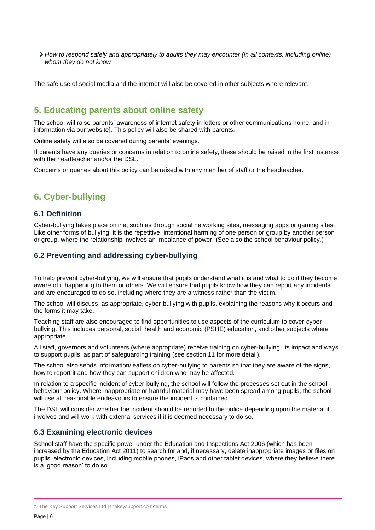*How to respond safely and appropriately to adults they may encounter (in all contexts, including online) whom they do not know*

The safe use of social media and the internet will also be covered in other subjects where relevant.

## <span id="page-5-0"></span>**5. Educating parents about online safety**

The school will raise parents' awareness of internet safety in letters or other communications home, and in information via our website]. This policy will also be shared with parents.

Online safety will also be covered during parents' evenings.

If parents have any queries or concerns in relation to online safety, these should be raised in the first instance with the headteacher and/or the DSL.

Concerns or queries about this policy can be raised with any member of staff or the headteacher.

## <span id="page-5-1"></span>**6. Cyber-bullying**

#### **6.1 Definition**

Cyber-bullying takes place online, such as through social networking sites, messaging apps or gaming sites. Like other forms of bullying, it is the repetitive, intentional harming of one person or group by another person or group, where the relationship involves an imbalance of power. (See also the school behaviour policy.)

#### **6.2 Preventing and addressing cyber-bullying**

To help prevent cyber-bullying, we will ensure that pupils understand what it is and what to do if they become aware of it happening to them or others. We will ensure that pupils know how they can report any incidents and are encouraged to do so, including where they are a witness rather than the victim.

The school will discuss, as appropriate, cyber-bullying with pupils, explaining the reasons why it occurs and the forms it may take.

Teaching staff are also encouraged to find opportunities to use aspects of the curriculum to cover cyberbullying. This includes personal, social, health and economic (PSHE) education, and other subjects where appropriate.

All staff, governors and volunteers (where appropriate) receive training on cyber-bullying, its impact and ways to support pupils, as part of safeguarding training (see section 11 for more detail).

The school also sends information/leaflets on cyber-bullying to parents so that they are aware of the signs, how to report it and how they can support children who may be affected.

In relation to a specific incident of cyber-bullying, the school will follow the processes set out in the school behaviour policy. Where inappropriate or harmful material may have been spread among pupils, the school will use all reasonable endeavours to ensure the incident is contained.

The DSL will consider whether the incident should be reported to the police depending upon the material it involves and will work with external services if it is deemed necessary to do so.

#### **6.3 Examining electronic devices**

School staff have the specific power under the Education and Inspections Act 2006 (which has been increased by the Education Act 2011) to search for and, if necessary, delete inappropriate images or files on pupils' electronic devices, including mobile phones, iPads and other tablet devices, where they believe there is a 'good reason' to do so.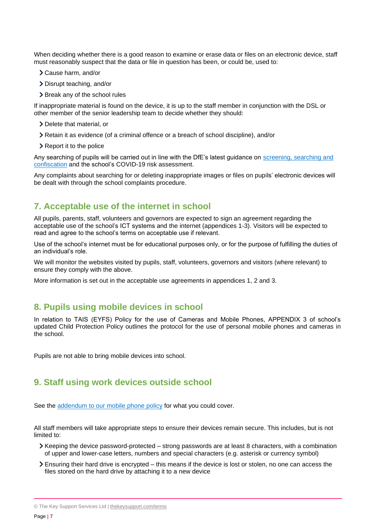When deciding whether there is a good reason to examine or erase data or files on an electronic device, staff must reasonably suspect that the data or file in question has been, or could be, used to:

- Cause harm, and/or
- Disrupt teaching, and/or
- > Break any of the school rules

If inappropriate material is found on the device, it is up to the staff member in conjunction with the DSL or other member of the senior leadership team to decide whether they should:

- > Delete that material, or
- Retain it as evidence (of a criminal offence or a breach of school discipline), and/or
- Report it to the police

Any searching of pupils will be carried out in line with the DfE's latest guidance on [screening, searching and](https://www.gov.uk/government/publications/searching-screening-and-confiscation)  [confiscation](https://www.gov.uk/government/publications/searching-screening-and-confiscation) and the school's COVID-19 risk assessment.

Any complaints about searching for or deleting inappropriate images or files on pupils' electronic devices will be dealt with through the school complaints procedure.

## <span id="page-6-0"></span>**7. Acceptable use of the internet in school**

All pupils, parents, staff, volunteers and governors are expected to sign an agreement regarding the acceptable use of the school's ICT systems and the internet (appendices 1-3). Visitors will be expected to read and agree to the school's terms on acceptable use if relevant.

Use of the school's internet must be for educational purposes only, or for the purpose of fulfilling the duties of an individual's role.

We will monitor the websites visited by pupils, staff, volunteers, governors and visitors (where relevant) to ensure they comply with the above.

More information is set out in the acceptable use agreements in appendices 1, 2 and 3.

## <span id="page-6-1"></span>**8. Pupils using mobile devices in school**

<span id="page-6-2"></span>In relation to TAIS (EYFS) Policy for the use of Cameras and Mobile Phones, APPENDIX 3 of school's updated Child Protection Policy outlines the protocol for the use of personal mobile phones and cameras in the school.

<span id="page-6-3"></span>Pupils are not able to bring mobile devices into school.

## **9. Staff using work devices outside school**

See the [addendum to our mobile phone policy](https://schoolleaders.thekeysupport.com/uid/ce74688c-fb8e-4476-8668-16aa7afb5dad/) for what you could cover.

All staff members will take appropriate steps to ensure their devices remain secure. This includes, but is not limited to:

- Keeping the device password-protected strong passwords are at least 8 characters, with a combination of upper and lower-case letters, numbers and special characters (e.g. asterisk or currency symbol)
- Ensuring their hard drive is encrypted this means if the device is lost or stolen, no one can access the files stored on the hard drive by attaching it to a new device

<sup>©</sup> The Key Support Services Ltd | [thekeysupport.com/terms](https://thekeysupport.com/terms-of-use)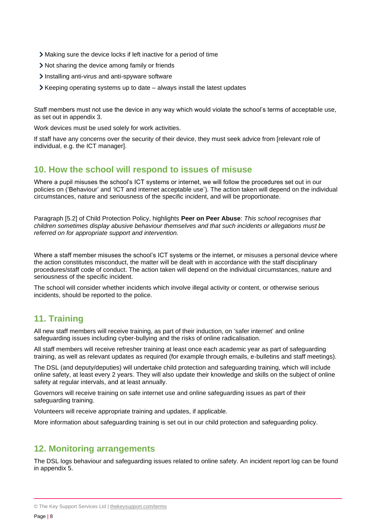- Making sure the device locks if left inactive for a period of time
- Not sharing the device among family or friends
- Installing anti-virus and anti-spyware software
- $\triangleright$  Keeping operating systems up to date always install the latest updates

Staff members must not use the device in any way which would violate the school's terms of acceptable use, as set out in appendix 3.

Work devices must be used solely for work activities.

If staff have any concerns over the security of their device, they must seek advice from [relevant role of individual, e.g. the ICT manager].

## <span id="page-7-0"></span>**10. How the school will respond to issues of misuse**

Where a pupil misuses the school's ICT systems or internet, we will follow the procedures set out in our policies on ('Behaviour' and 'ICT and internet acceptable use'). The action taken will depend on the individual circumstances, nature and seriousness of the specific incident, and will be proportionate.

Paragraph [5.2] of Child Protection Policy, highlights **Peer on Peer Abuse**: *This school recognises that children sometimes display abusive behaviour themselves and that such incidents or allegations must be referred on for appropriate support and intervention.* 

Where a staff member misuses the school's ICT systems or the internet, or misuses a personal device where the action constitutes misconduct, the matter will be dealt with in accordance with the staff disciplinary procedures/staff code of conduct. The action taken will depend on the individual circumstances, nature and seriousness of the specific incident.

The school will consider whether incidents which involve illegal activity or content, or otherwise serious incidents, should be reported to the police.

## <span id="page-7-1"></span>**11. Training**

All new staff members will receive training, as part of their induction, on 'safer internet' and online safeguarding issues including cyber-bullying and the risks of online radicalisation.

All staff members will receive refresher training at least once each academic year as part of safeguarding training, as well as relevant updates as required (for example through emails, e-bulletins and staff meetings).

The DSL (and deputy/deputies) will undertake child protection and safeguarding training, which will include online safety, at least every 2 years. They will also update their knowledge and skills on the subject of online safety at regular intervals, and at least annually.

Governors will receive training on safe internet use and online safeguarding issues as part of their safeguarding training.

Volunteers will receive appropriate training and updates, if applicable.

More information about safeguarding training is set out in our child protection and safeguarding policy.

## <span id="page-7-2"></span>**12. Monitoring arrangements**

The DSL logs behaviour and safeguarding issues related to online safety. An incident report log can be found in appendix 5.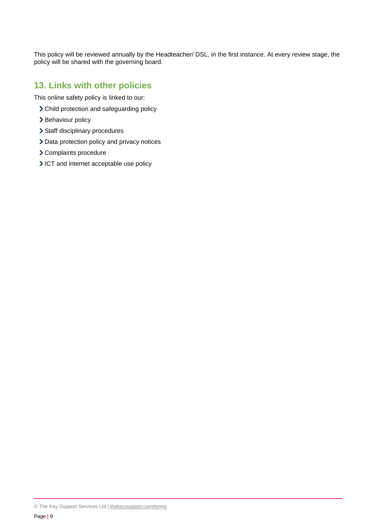This policy will be reviewed annually by the Headteacher/ DSL, in the first instance. At every review stage, the policy will be shared with the governing board.

## <span id="page-8-0"></span>**13. Links with other policies**

This online safety policy is linked to our:

- Child protection and safeguarding policy
- > Behaviour policy
- > Staff disciplinary procedures
- > Data protection policy and privacy notices
- Complaints procedure
- ICT and internet acceptable use policy

<sup>©</sup> The Key Support Services Ltd | [thekeysupport.com/terms](https://thekeysupport.com/terms-of-use)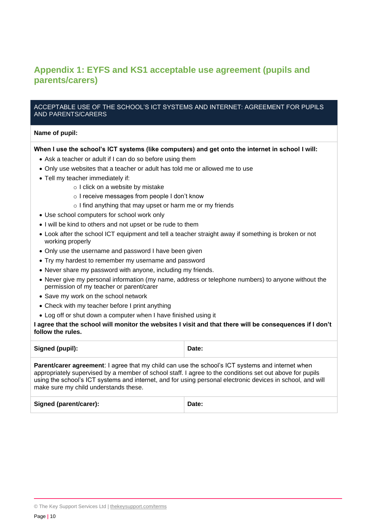## <span id="page-9-0"></span>**Appendix 1: EYFS and KS1 acceptable use agreement (pupils and parents/carers)**

#### ACCEPTABLE USE OF THE SCHOOL'S ICT SYSTEMS AND INTERNET: AGREEMENT FOR PUPILS AND PARENTS/CARERS

#### **Name of pupil:**

#### **When I use the school's ICT systems (like computers) and get onto the internet in school I will:**

- Ask a teacher or adult if I can do so before using them
- Only use websites that a teacher or adult has told me or allowed me to use
- Tell my teacher immediately if:
	- o I click on a website by mistake
	- o I receive messages from people I don't know
	- o I find anything that may upset or harm me or my friends
- Use school computers for school work only
- I will be kind to others and not upset or be rude to them
- Look after the school ICT equipment and tell a teacher straight away if something is broken or not working properly
- Only use the username and password I have been given
- Try my hardest to remember my username and password
- Never share my password with anyone, including my friends.
- Never give my personal information (my name, address or telephone numbers) to anyone without the permission of my teacher or parent/carer
- Save my work on the school network
- Check with my teacher before I print anything
- Log off or shut down a computer when I have finished using it

#### **I agree that the school will monitor the websites I visit and that there will be consequences if I don't follow the rules.**

| Signed (pupil):                                                                                                                                                                                                                                                                                                                                                            | Date: |
|----------------------------------------------------------------------------------------------------------------------------------------------------------------------------------------------------------------------------------------------------------------------------------------------------------------------------------------------------------------------------|-------|
| <b>Parent/carer agreement:</b> I agree that my child can use the school's ICT systems and internet when<br>appropriately supervised by a member of school staff. I agree to the conditions set out above for pupils<br>using the school's ICT systems and internet, and for using personal electronic devices in school, and will<br>make sure my child understands these. |       |

| Signed (parent/carer): | Date: |
|------------------------|-------|
|                        |       |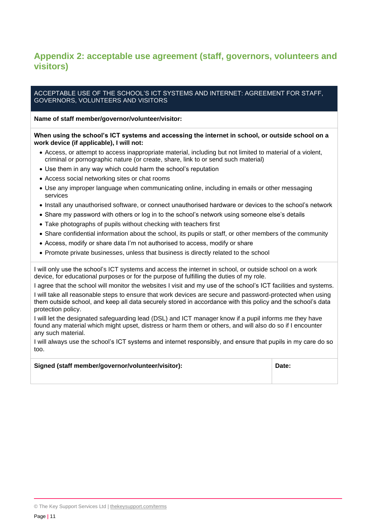## <span id="page-10-0"></span>**Appendix 2: acceptable use agreement (staff, governors, volunteers and visitors)**

#### ACCEPTABLE USE OF THE SCHOOL'S ICT SYSTEMS AND INTERNET: AGREEMENT FOR STAFF, GOVERNORS, VOLUNTEERS AND VISITORS

#### **Name of staff member/governor/volunteer/visitor:**

#### **When using the school's ICT systems and accessing the internet in school, or outside school on a work device (if applicable), I will not:**

- Access, or attempt to access inappropriate material, including but not limited to material of a violent, criminal or pornographic nature (or create, share, link to or send such material)
- Use them in any way which could harm the school's reputation
- Access social networking sites or chat rooms
- Use any improper language when communicating online, including in emails or other messaging services
- Install any unauthorised software, or connect unauthorised hardware or devices to the school's network
- Share my password with others or log in to the school's network using someone else's details
- Take photographs of pupils without checking with teachers first
- Share confidential information about the school, its pupils or staff, or other members of the community
- Access, modify or share data I'm not authorised to access, modify or share
- Promote private businesses, unless that business is directly related to the school

I will only use the school's ICT systems and access the internet in school, or outside school on a work device, for educational purposes or for the purpose of fulfilling the duties of my role.

I agree that the school will monitor the websites I visit and my use of the school's ICT facilities and systems. I will take all reasonable steps to ensure that work devices are secure and password-protected when using them outside school, and keep all data securely stored in accordance with this policy and the school's data protection policy.

I will let the designated safeguarding lead (DSL) and ICT manager know if a pupil informs me they have found any material which might upset, distress or harm them or others, and will also do so if I encounter any such material.

I will always use the school's ICT systems and internet responsibly, and ensure that pupils in my care do so too.

| Signed (staff member/governor/volunteer/visitor): | Date: |
|---------------------------------------------------|-------|
|---------------------------------------------------|-------|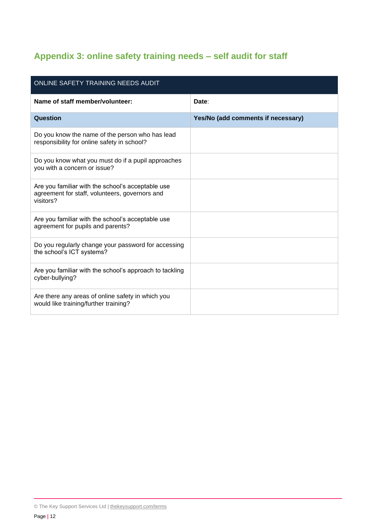# <span id="page-11-0"></span>**Appendix 3: online safety training needs – self audit for staff**

| ONLINE SAFETY TRAINING NEEDS AUDIT                                                                               |                                    |  |  |  |
|------------------------------------------------------------------------------------------------------------------|------------------------------------|--|--|--|
| Name of staff member/volunteer:                                                                                  | Date:                              |  |  |  |
| Question                                                                                                         | Yes/No (add comments if necessary) |  |  |  |
| Do you know the name of the person who has lead<br>responsibility for online safety in school?                   |                                    |  |  |  |
| Do you know what you must do if a pupil approaches<br>you with a concern or issue?                               |                                    |  |  |  |
| Are you familiar with the school's acceptable use<br>agreement for staff, volunteers, governors and<br>visitors? |                                    |  |  |  |
| Are you familiar with the school's acceptable use<br>agreement for pupils and parents?                           |                                    |  |  |  |
| Do you regularly change your password for accessing<br>the school's ICT systems?                                 |                                    |  |  |  |
| Are you familiar with the school's approach to tackling<br>cyber-bullying?                                       |                                    |  |  |  |
| Are there any areas of online safety in which you<br>would like training/further training?                       |                                    |  |  |  |